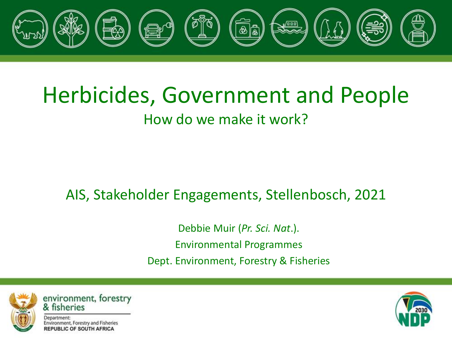

#### Herbicides, Government and People How do we make it work?

#### AIS, Stakeholder Engagements, Stellenbosch, 2021

Debbie Muir (*Pr. Sci. Nat*.). Environmental Programmes Dept. Environment, Forestry & Fisheries



environment, forestry & fisheries

Department: Environment, Forestry and Fisheries **REPUBLIC OF SOUTH AFRICA** 

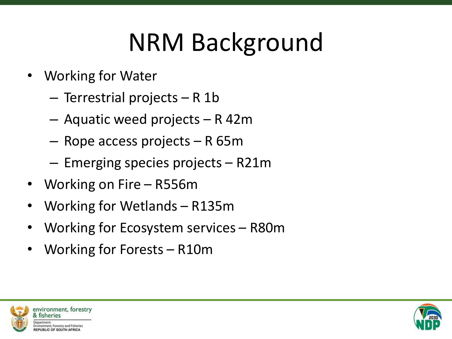#### NRM Background

- Working for Water
	- Terrestrial projects R 1b
	- Aquatic weed projects R 42m
	- Rope access projects R 65m
	- Emerging species projects R21m
- Working on Fire R556m
- Working for Wetlands R135m
- Working for Ecosystem services R80m
- Working for Forests R10m



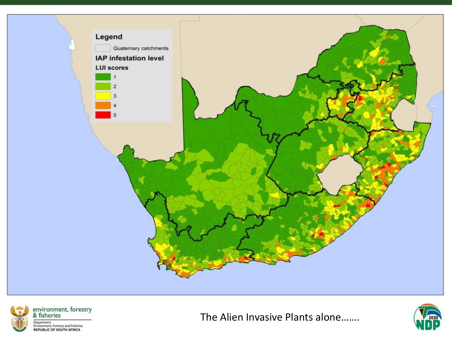



The Alien Invasive Plants alone…….

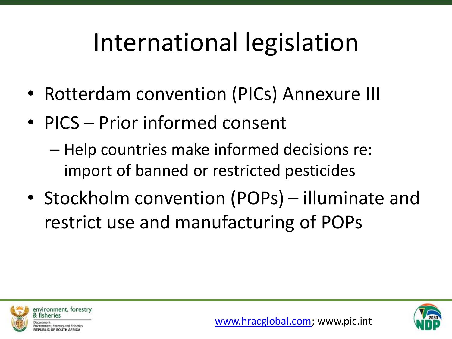### International legislation

- Rotterdam convention (PICs) Annexure III
- PICS Prior informed consent
	- Help countries make informed decisions re: import of banned or restricted pesticides
- Stockholm convention (POPs) illuminate and restrict use and manufacturing of POPs



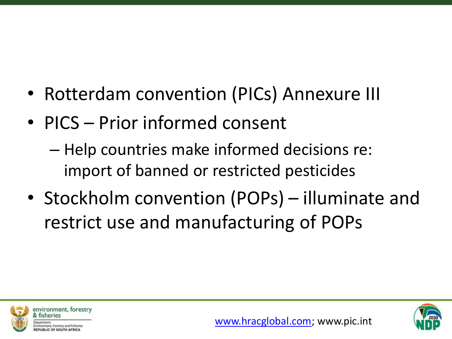- Rotterdam convention (PICs) Annexure III
- PICS Prior informed consent
	- Help countries make informed decisions re: import of banned or restricted pesticides
- Stockholm convention (POPs) illuminate and restrict use and manufacturing of POPs



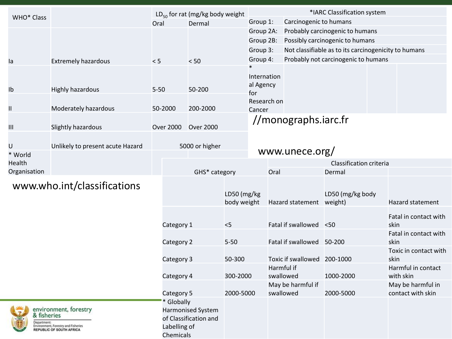| <b>WHO* Class</b>           |                                                                                          | $LD_{50}$ for rat (mg/kg body weight  |                                            |                            | *IARC Classification system                    |                             |                        |                                                      |                                        |                                 |
|-----------------------------|------------------------------------------------------------------------------------------|---------------------------------------|--------------------------------------------|----------------------------|------------------------------------------------|-----------------------------|------------------------|------------------------------------------------------|----------------------------------------|---------------------------------|
|                             |                                                                                          | Oral                                  | Dermal                                     |                            | Group 1:                                       |                             | Carcinogenic to humans |                                                      |                                        |                                 |
|                             |                                                                                          |                                       |                                            |                            | Group 2A:                                      |                             |                        | Probably carcinogenic to humans                      |                                        |                                 |
|                             |                                                                                          |                                       |                                            |                            | Group 2B:                                      |                             |                        | Possibly carcinogenic to humans                      |                                        |                                 |
|                             |                                                                                          |                                       |                                            |                            | Group 3:                                       |                             |                        | Not classifiable as to its carcinogenicity to humans |                                        |                                 |
| la                          | <b>Extremely hazardous</b>                                                               | < 5                                   | < 50                                       |                            | Group 4:                                       |                             |                        | Probably not carcinogenic to humans                  |                                        |                                 |
| Ib                          | Highly hazardous<br>Moderately hazardous                                                 | $5 - 50$<br>50-2000                   | 50-200<br>200-2000                         |                            | Internation<br>al Agency<br>for<br>Research on |                             |                        |                                                      |                                        |                                 |
| Ш                           |                                                                                          |                                       |                                            |                            | Cancer                                         |                             |                        |                                                      |                                        |                                 |
| $\mathbf{III}$              | Slightly hazardous                                                                       | <b>Over 2000</b>                      | <b>Over 2000</b>                           |                            |                                                |                             | //monographs.iarc.fr   |                                                      |                                        |                                 |
|                             |                                                                                          |                                       |                                            |                            |                                                |                             |                        |                                                      |                                        |                                 |
| U                           | Unlikely to present acute Hazard                                                         |                                       |                                            |                            |                                                |                             |                        |                                                      |                                        |                                 |
| * World                     | 5000 or higher                                                                           |                                       |                                            | www.unece.org/             |                                                |                             |                        |                                                      |                                        |                                 |
| Health                      |                                                                                          |                                       |                                            |                            |                                                | Classification criteria     |                        |                                                      |                                        |                                 |
| Organisation                |                                                                                          | GHS* category                         |                                            |                            |                                                | Oral                        |                        | Dermal                                               |                                        |                                 |
| www.who.int/classifications |                                                                                          |                                       |                                            | LD50 (mg/kg<br>body weight |                                                |                             | Hazard statement       | LD50 (mg/kg body<br>weight)                          |                                        | <b>Hazard statement</b>         |
|                             |                                                                                          | Category 1                            |                                            | $<$ 5                      |                                                |                             | Fatal if swallowed     | < 50                                                 |                                        | Fatal in contact with<br>skin   |
|                             |                                                                                          | Category 2                            |                                            | $5 - 50$                   |                                                |                             | Fatal if swallowed     | 50-200                                               |                                        | Fatal in contact with<br>skin   |
|                             | Category 3                                                                               |                                       | 50-300                                     |                            |                                                | Toxic if swallowed 200-1000 |                        |                                                      | Toxic in contact with<br>skin          |                                 |
|                             |                                                                                          |                                       | Category 4                                 |                            | 300-2000                                       | Harmful if<br>swallowed     |                        | 1000-2000                                            |                                        | Harmful in contact<br>with skin |
|                             |                                                                                          | Category 5                            |                                            | 2000-5000                  | swallowed                                      | May be harmful if           | 2000-5000              |                                                      | May be harmful in<br>contact with skin |                                 |
| & fisheries<br>Department:  | environment, forestry<br>Environment, Forestry and Fisheries<br>REPUBLIC OF SOUTH AFRICA | Globally<br>Labelling of<br>Chemicals | Harmonised System<br>of Classification and |                            |                                                |                             |                        |                                                      |                                        |                                 |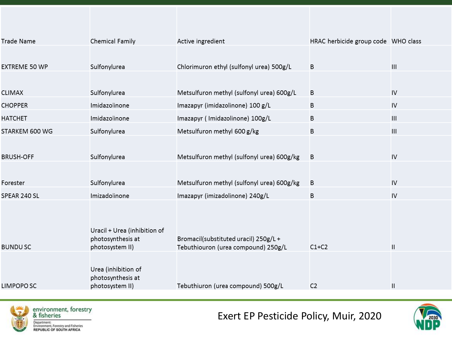| Trade Name       | <b>Chemical Family</b>               | Active ingredient                                                           | HRAC herbicide group code WHO class |                                    |
|------------------|--------------------------------------|-----------------------------------------------------------------------------|-------------------------------------|------------------------------------|
|                  |                                      |                                                                             |                                     |                                    |
| EXTREME 50 WP    | Sulfonylurea                         | Chlorimuron ethyl (sulfonyl urea) 500g/L                                    | B                                   | $\mathsf{III}\,$                   |
|                  |                                      |                                                                             |                                     |                                    |
| CLIMAX           | Sulfonylurea                         | Metsulfuron methyl (sulfonyl urea) 600g/L                                   | B                                   | IV                                 |
| <b>CHOPPER</b>   | Imidazolinone                        | Imazapyr (imidazolinone) 100 g/L                                            | B                                   | IV                                 |
| HATCHET          | Imidazolinone                        | Imazapyr (Imidazolinone) 100g/L                                             | B                                   | III                                |
| STARKEM 600 WG   | Sulfonylurea                         | Metsulfuron methyl 600 g/kg                                                 | B                                   | $\ensuremath{\mathsf{III}}\xspace$ |
|                  |                                      |                                                                             |                                     |                                    |
| <b>BRUSH-OFF</b> | Sulfonylurea                         | Metsulfuron methyl (sulfonyl urea) 600g/kg                                  | B                                   | IV                                 |
|                  |                                      |                                                                             |                                     |                                    |
| Forester         | Sulfonylurea                         | Metsulfuron methyl (sulfonyl urea) 600g/kg                                  | B                                   | IV                                 |
| SPEAR 240 SL     | Imizadolinone                        | Imazapyr (imizadolinone) 240g/L                                             | B                                   | IV                                 |
|                  |                                      |                                                                             |                                     |                                    |
|                  |                                      |                                                                             |                                     |                                    |
|                  | Uracil + Urea (inhibition of         |                                                                             |                                     |                                    |
| BUNDU SC         | photosynthesis at<br>photosystem II) | Bromacil(substituted uracil) 250g/L+<br>Tebuthiouron (urea compound) 250g/L | $C1+C2$                             | $\mathsf{II}$                      |
|                  |                                      |                                                                             |                                     |                                    |
|                  | Urea (inhibition of                  |                                                                             |                                     |                                    |
|                  | photosynthesis at                    |                                                                             |                                     |                                    |
| LIMPOPO SC       | photosystem II)                      | Tebuthiuron (urea compound) 500g/L                                          | C <sub>2</sub>                      | $\mathsf{II}$                      |



Exert EP Pesticide Policy, Muir, 2020

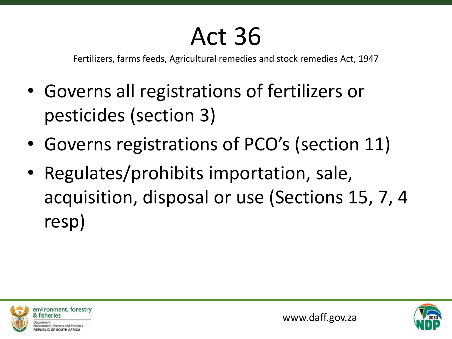#### Act 36

Fertilizers, farms feeds, Agricultural remedies and stock remedies Act, 1947

- Governs all registrations of fertilizers or pesticides (section 3)
- Governs registrations of PCO's (section 11)
- Regulates/prohibits importation, sale, acquisition, disposal or use (Sections 15, 7, 4 resp)



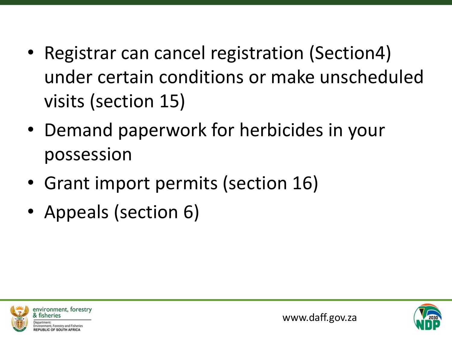- Registrar can cancel registration (Section4) under certain conditions or make unscheduled visits (section 15)
- Demand paperwork for herbicides in your possession
- Grant import permits (section 16)
- Appeals (section 6)



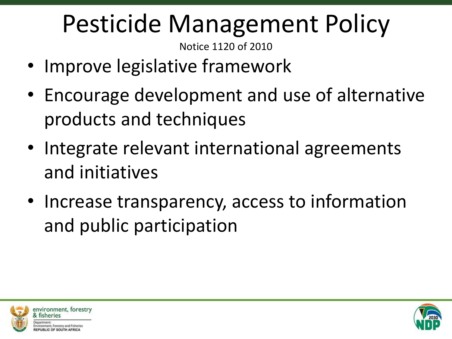#### Pesticide Management Policy

Notice 1120 of 2010

- Improve legislative framework
- Encourage development and use of alternative products and techniques
- Integrate relevant international agreements and initiatives
- Increase transparency, access to information and public participation



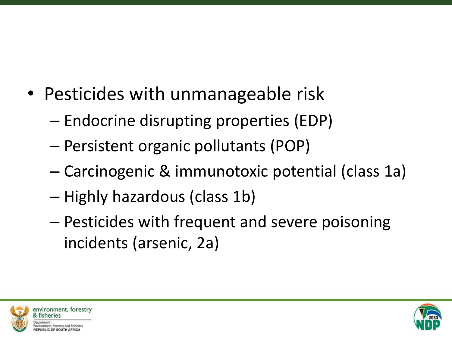- Pesticides with unmanageable risk
	- Endocrine disrupting properties (EDP)
	- Persistent organic pollutants (POP)
	- Carcinogenic & immunotoxic potential (class 1a)
	- Highly hazardous (class 1b)
	- Pesticides with frequent and severe poisoning incidents (arsenic, 2a)



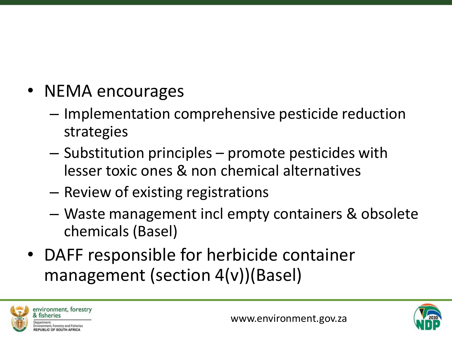- NEMA encourages
	- Implementation comprehensive pesticide reduction strategies
	- Substitution principles promote pesticides with lesser toxic ones & non chemical alternatives
	- Review of existing registrations
	- Waste management incl empty containers & obsolete chemicals (Basel)
- DAFF responsible for herbicide container management (section 4(v))(Basel)



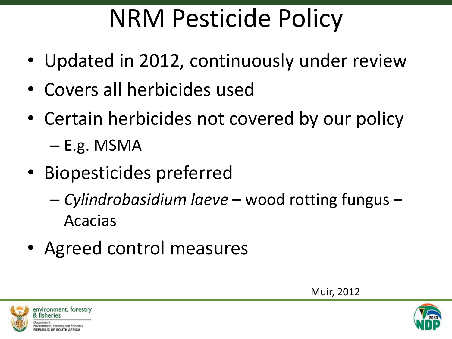#### NRM Pesticide Policy

- Updated in 2012, continuously under review
- Covers all herbicides used
- Certain herbicides not covered by our policy – E.g. MSMA
- Biopesticides preferred
	- *Cylindrobasidium laeve* wood rotting fungus Acacias
- Agreed control measures

Muir, 2012



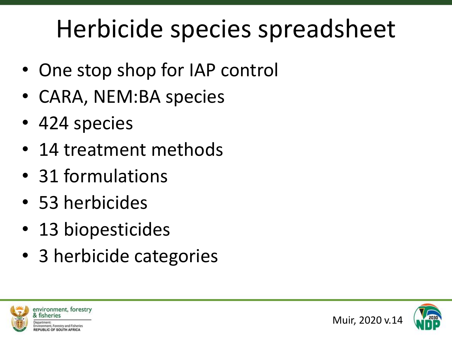#### Herbicide species spreadsheet

- One stop shop for IAP control
- CARA, NEM:BA species
- 424 species
- 14 treatment methods
- 31 formulations
- 53 herbicides
- 13 biopesticides
- 3 herbicide categories



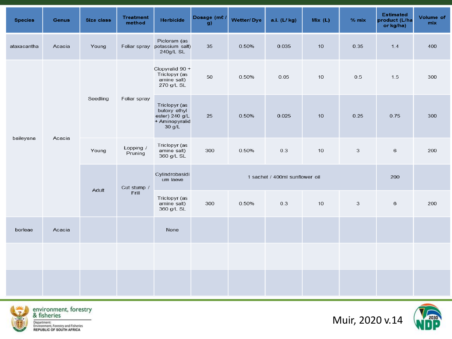| <b>Species</b> | <b>Genus</b> | Size class | <b>Treatment</b><br>method | <b>Herbicide</b>                                                            | Dosage (me)<br>g) | Wetter/Dye                     | a.i. (L/kg) | Mix (L) | $%$ mix      | <b>Estimated</b><br>product (L/ha<br>or kg/ha) | Volume of<br>mix |
|----------------|--------------|------------|----------------------------|-----------------------------------------------------------------------------|-------------------|--------------------------------|-------------|---------|--------------|------------------------------------------------|------------------|
| ataxacantha    | Acacia       | Young      | Foliar spray               | Picloram (as<br>potassium salt)<br>240g/L SL                                | 35                | 0.50%                          | 0.035       | 10      | 0.35         | 1.4                                            | 400              |
| baileyana      | Acacia       | Seedling   | Foliar spray               | Clopyralid 90 +<br>Triclopyr (as<br>amine salt)<br>270 g/L SL               | 50                | 0.50%                          | 0.05        | 10      | 0.5          | 1.5                                            | 300              |
|                |              |            |                            | Triclopyr (as<br>butoxy ethyl<br>ester) 240 g/L<br>+ Aminopyralid<br>30 g/L | 25                | 0.50%                          | 0.025       | 10      | 0.25         | 0.75                                           | 300              |
|                |              | Young      | Lopping /<br>Pruning       | Triclopyr (as<br>amine salt)<br>360 g/L SL                                  | 300               | 0.50%                          | 0.3         | 10      | $\mathbf{3}$ | $\,6$                                          | 200              |
|                |              | Adult      | Cut stump /<br>Frill       | Cylindrobasidi<br>um laeve                                                  |                   | 1 sachet / 400ml sunflower oil |             |         |              |                                                |                  |
|                |              |            |                            | Triclopyr (as<br>amine salt)<br>360 g/L SL                                  | 300               | 0.50%                          | 0.3         | 10      | 3            | $\,6\,$                                        | 200              |
| borleae        | Acacia       |            |                            | None                                                                        |                   |                                |             |         |              |                                                |                  |
|                |              |            |                            |                                                                             |                   |                                |             |         |              |                                                |                  |
|                |              |            |                            |                                                                             |                   |                                |             |         |              |                                                |                  |







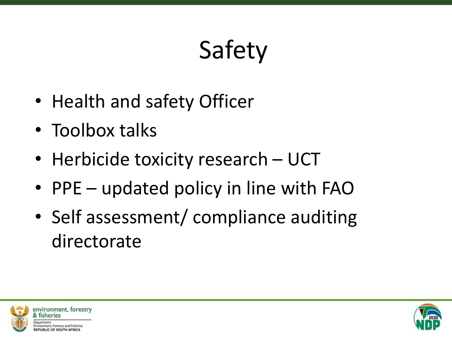## Safety

- Health and safety Officer
- Toolbox talks
- Herbicide toxicity research UCT
- PPE updated policy in line with FAO
- Self assessment/ compliance auditing directorate



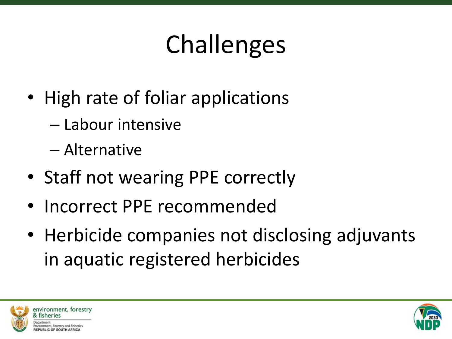## Challenges

- High rate of foliar applications
	- Labour intensive

– Alternative

- Staff not wearing PPE correctly
- Incorrect PPE recommended
- Herbicide companies not disclosing adjuvants in aquatic registered herbicides



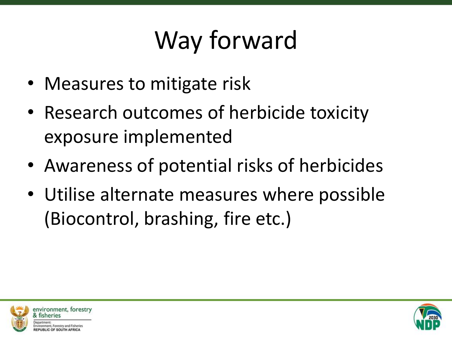## Way forward

- Measures to mitigate risk
- Research outcomes of herbicide toxicity exposure implemented
- Awareness of potential risks of herbicides
- Utilise alternate measures where possible (Biocontrol, brashing, fire etc.)



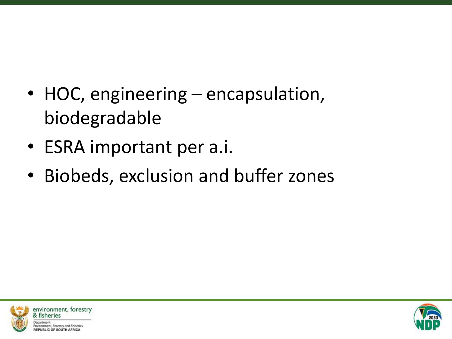- HOC, engineering encapsulation, biodegradable
- ESRA important per a.i.
- Biobeds, exclusion and buffer zones



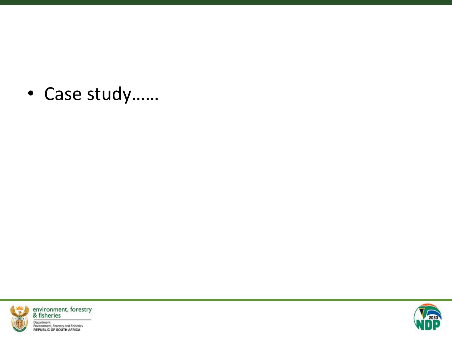• Case study……



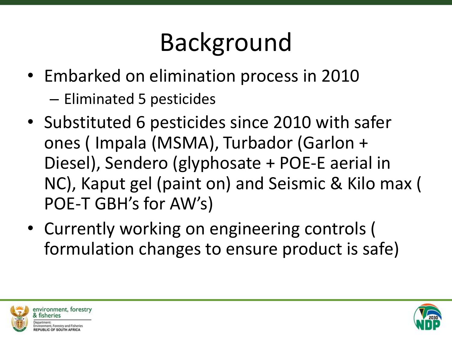## Background

- Embarked on elimination process in 2010
	- Eliminated 5 pesticides
- Substituted 6 pesticides since 2010 with safer ones ( Impala (MSMA), Turbador (Garlon + Diesel), Sendero (glyphosate + POE-E aerial in NC), Kaput gel (paint on) and Seismic & Kilo max ( POE-T GBH's for AW's)
- Currently working on engineering controls ( formulation changes to ensure product is safe)



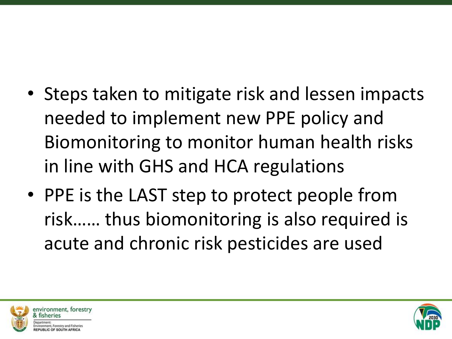- Steps taken to mitigate risk and lessen impacts needed to implement new PPE policy and Biomonitoring to monitor human health risks in line with GHS and HCA regulations
- PPE is the LAST step to protect people from risk…… thus biomonitoring is also required is acute and chronic risk pesticides are used



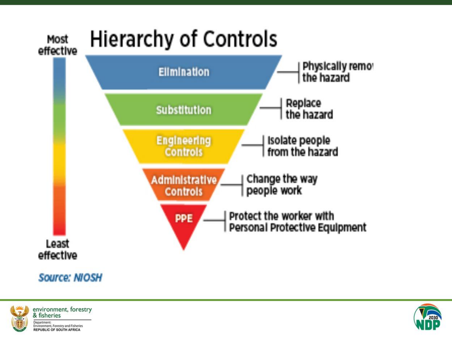



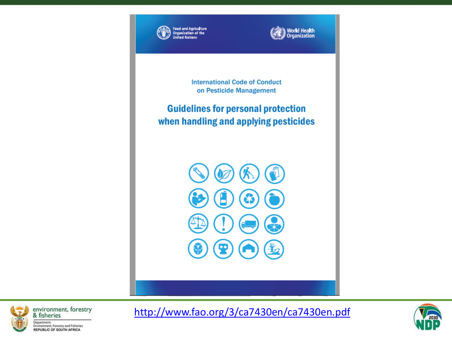



**International Code of Conduct** on Pesticide Management

**Guidelines for personal protection** when handling and applying pesticides





<http://www.fao.org/3/ca7430en/ca7430en.pdf>

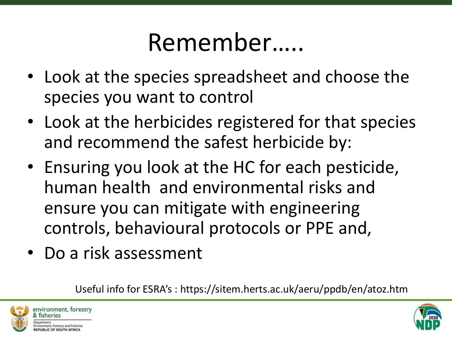#### Remember…..

- Look at the species spreadsheet and choose the species you want to control
- Look at the herbicides registered for that species and recommend the safest herbicide by:
- Ensuring you look at the HC for each pesticide, human health and environmental risks and ensure you can mitigate with engineering controls, behavioural protocols or PPE and,
- Do a risk assessment

Useful info for ESRA's : https://sitem.herts.ac.uk/aeru/ppdb/en/atoz.htm



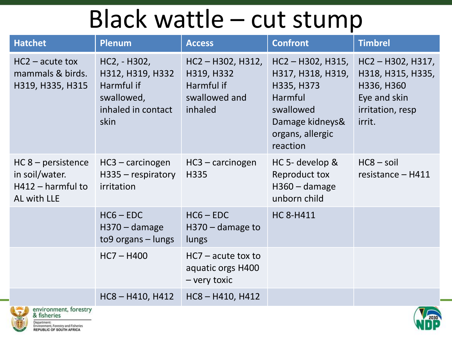#### Black wattle – cut stump

| <b>Hatchet</b>                                                               | <b>Plenum</b>                                                                              | <b>Access</b>                                                               | <b>Confront</b>                                                                                                                   | <b>Timbrel</b>                                                                                   |  |  |  |
|------------------------------------------------------------------------------|--------------------------------------------------------------------------------------------|-----------------------------------------------------------------------------|-----------------------------------------------------------------------------------------------------------------------------------|--------------------------------------------------------------------------------------------------|--|--|--|
| $HC2$ – acute tox<br>mammals & birds.<br>H319, H335, H315                    | HC2, - H302,<br>H312, H319, H332<br>Harmful if<br>swallowed,<br>inhaled in contact<br>skin | $HC2 - H302, H312,$<br>H319, H332<br>Harmful if<br>swallowed and<br>inhaled | $HC2 - H302, H315,$<br>H317, H318, H319,<br>H335, H373<br>Harmful<br>swallowed<br>Damage kidneys&<br>organs, allergic<br>reaction | HC2-H302, H317,<br>H318, H315, H335,<br>H336, H360<br>Eye and skin<br>irritation, resp<br>irrit. |  |  |  |
| $HC 8 - persistence$<br>in soil/water.<br>$H412 -$ harmful to<br>AL with LLE | $HC3 - carcinogen$<br>$H335$ – respiratory<br>irritation                                   | $HC3 - carcinogen$<br>H335                                                  | HC 5- develop &<br>Reproduct tox<br>$H360 - \text{damage}$<br>unborn child                                                        | $HC8 - soil$<br>resistance - H411                                                                |  |  |  |
|                                                                              | $HCG - EDC$<br>$H370 - \text{damage}$<br>to9 organs - lungs                                | $HCG - EDC$<br>$H370 - \text{damage}$ to<br>lungs                           | <b>HC 8-H411</b>                                                                                                                  |                                                                                                  |  |  |  |
|                                                                              | $HC7 - H400$                                                                               | $HC7$ – acute tox to<br>aquatic orgs H400<br>- very toxic                   |                                                                                                                                   |                                                                                                  |  |  |  |
|                                                                              | $HC8 - H410, H412$                                                                         | $HC8 - H410, H412$                                                          |                                                                                                                                   |                                                                                                  |  |  |  |
| environment, forestry<br>$\blacksquare$                                      |                                                                                            |                                                                             |                                                                                                                                   |                                                                                                  |  |  |  |